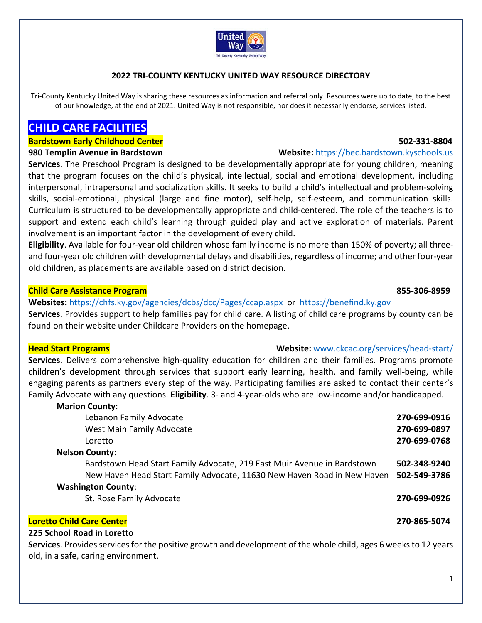

## **2022 TRI‐COUNTY KENTUCKY UNITED WAY RESOURCE DIRECTORY**

Tri-County Kentucky United Way is sharing these resources as information and referral only. Resources were up to date, to the best of our knowledge, at the end of 2021. United Way is not responsible, nor does it necessarily endorse, services listed.

# **CHILD CARE FACILITIES**

### **Bardstown Early Childhood Center 502‐331‐8804**

**Services**. The Preschool Program is designed to be developmentally appropriate for young children, meaning that the program focuses on the child's physical, intellectual, social and emotional development, including interpersonal, intrapersonal and socialization skills. It seeks to build a child's intellectual and problem‐solving skills, social-emotional, physical (large and fine motor), self-help, self-esteem, and communication skills. Curriculum is structured to be developmentally appropriate and child‐centered. The role of the teachers is to support and extend each child's learning through guided play and active exploration of materials. Parent involvement is an important factor in the development of every child.

**Eligibility**. Available for four‐year old children whose family income is no more than 150% of poverty; all three‐ and four-year old children with developmental delays and disabilities, regardless of income; and other four-year old children, as placements are available based on district decision.

### **Child Care Assistance Program 855‐306‐8959**

**Websites:** https://chfs.ky.gov/agencies/dcbs/dcc/Pages/ccap.aspx or https://benefind.ky.gov **Services**. Provides support to help families pay for child care. A listing of child care programs by county can be found on their website under Childcare Providers on the homepage.

### **Head Start Programs Website:** www.ckcac.org/services/head‐start/

**Services**. Delivers comprehensive high‐quality education for children and their families. Programs promote children's development through services that support early learning, health, and family well-being, while engaging parents as partners every step of the way. Participating families are asked to contact their center's Family Advocate with any questions. **Eligibility**. 3‐ and 4‐year‐olds who are low‐income and/or handicapped.

| <b>Marion County:</b>                                                                                           |              |
|-----------------------------------------------------------------------------------------------------------------|--------------|
| Lebanon Family Advocate                                                                                         | 270-699-0916 |
| West Main Family Advocate                                                                                       | 270-699-0897 |
| Loretto                                                                                                         | 270-699-0768 |
| <b>Nelson County:</b>                                                                                           |              |
| Bardstown Head Start Family Advocate, 219 East Muir Avenue in Bardstown                                         | 502-348-9240 |
| New Haven Head Start Family Advocate, 11630 New Haven Road in New Haven                                         | 502-549-3786 |
| <b>Washington County:</b>                                                                                       |              |
| St. Rose Family Advocate                                                                                        | 270-699-0926 |
| <b>Loretto Child Care Center</b>                                                                                | 270-865-5074 |
| 225 School Road in Loretto                                                                                      |              |
| Services, Provides services for the nositive growth and development of the whole child ages 6 weeks to 12 years |              |

**Services**. Provides services for the positive growth and development of the whole child, ages 6 weeks to 12 years old, in a safe, caring environment.

### **980 Templin Avenue in Bardstown Website:** https://bec.bardstown.kyschools.us